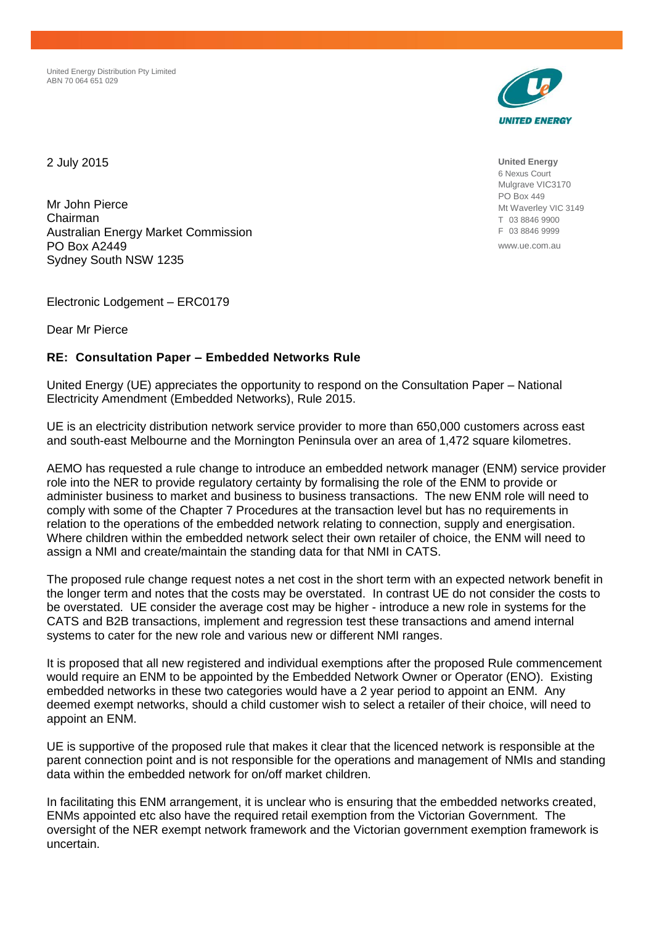United Energy Distribution Pty Limited ABN 70 064 651 029



2 July 2015

Mr John Pierce Chairman Australian Energy Market Commission PO Box A2449 Sydney South NSW 1235

Electronic Lodgement – ERC0179

Dear Mr Pierce

### **RE: Consultation Paper – Embedded Networks Rule**

United Energy (UE) appreciates the opportunity to respond on the Consultation Paper – National Electricity Amendment (Embedded Networks), Rule 2015.

UE is an electricity distribution network service provider to more than 650,000 customers across east and south-east Melbourne and the Mornington Peninsula over an area of 1,472 square kilometres.

AEMO has requested a rule change to introduce an embedded network manager (ENM) service provider role into the NER to provide regulatory certainty by formalising the role of the ENM to provide or administer business to market and business to business transactions. The new ENM role will need to comply with some of the Chapter 7 Procedures at the transaction level but has no requirements in relation to the operations of the embedded network relating to connection, supply and energisation. Where children within the embedded network select their own retailer of choice, the ENM will need to assign a NMI and create/maintain the standing data for that NMI in CATS.

The proposed rule change request notes a net cost in the short term with an expected network benefit in the longer term and notes that the costs may be overstated. In contrast UE do not consider the costs to be overstated. UE consider the average cost may be higher - introduce a new role in systems for the CATS and B2B transactions, implement and regression test these transactions and amend internal systems to cater for the new role and various new or different NMI ranges.

It is proposed that all new registered and individual exemptions after the proposed Rule commencement would require an ENM to be appointed by the Embedded Network Owner or Operator (ENO). Existing embedded networks in these two categories would have a 2 year period to appoint an ENM. Any deemed exempt networks, should a child customer wish to select a retailer of their choice, will need to appoint an ENM.

UE is supportive of the proposed rule that makes it clear that the licenced network is responsible at the parent connection point and is not responsible for the operations and management of NMIs and standing data within the embedded network for on/off market children.

In facilitating this ENM arrangement, it is unclear who is ensuring that the embedded networks created, ENMs appointed etc also have the required retail exemption from the Victorian Government. The oversight of the NER exempt network framework and the Victorian government exemption framework is uncertain.

**United Energy** 6 Nexus Court Mulgrave VIC3170 PO Box 449 Mt Waverley VIC 3149 T 03 8846 9900 F 03 8846 9999

www.ue.com.au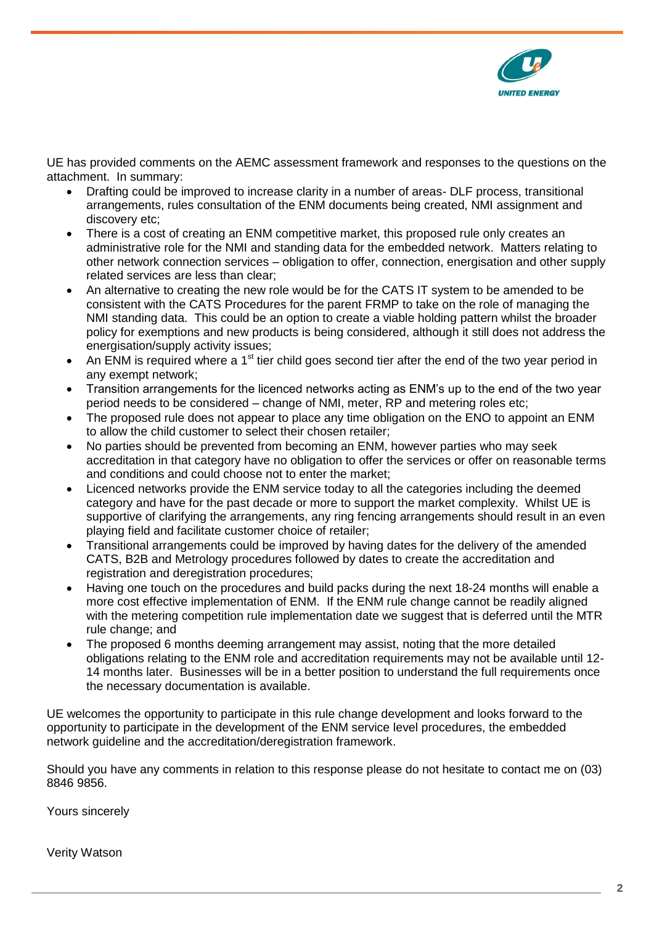

UE has provided comments on the AEMC assessment framework and responses to the questions on the attachment. In summary:

- Drafting could be improved to increase clarity in a number of areas- DLF process, transitional arrangements, rules consultation of the ENM documents being created, NMI assignment and discovery etc;
- There is a cost of creating an ENM competitive market, this proposed rule only creates an administrative role for the NMI and standing data for the embedded network. Matters relating to other network connection services – obligation to offer, connection, energisation and other supply related services are less than clear;
- An alternative to creating the new role would be for the CATS IT system to be amended to be consistent with the CATS Procedures for the parent FRMP to take on the role of managing the NMI standing data. This could be an option to create a viable holding pattern whilst the broader policy for exemptions and new products is being considered, although it still does not address the energisation/supply activity issues;
- An ENM is required where a 1<sup>st</sup> tier child goes second tier after the end of the two year period in any exempt network;
- Transition arrangements for the licenced networks acting as ENM's up to the end of the two year period needs to be considered – change of NMI, meter, RP and metering roles etc;
- The proposed rule does not appear to place any time obligation on the ENO to appoint an ENM to allow the child customer to select their chosen retailer;
- No parties should be prevented from becoming an ENM, however parties who may seek accreditation in that category have no obligation to offer the services or offer on reasonable terms and conditions and could choose not to enter the market;
- Licenced networks provide the ENM service today to all the categories including the deemed category and have for the past decade or more to support the market complexity. Whilst UE is supportive of clarifying the arrangements, any ring fencing arrangements should result in an even playing field and facilitate customer choice of retailer;
- Transitional arrangements could be improved by having dates for the delivery of the amended CATS, B2B and Metrology procedures followed by dates to create the accreditation and registration and deregistration procedures;
- Having one touch on the procedures and build packs during the next 18-24 months will enable a more cost effective implementation of ENM. If the ENM rule change cannot be readily aligned with the metering competition rule implementation date we suggest that is deferred until the MTR rule change; and
- The proposed 6 months deeming arrangement may assist, noting that the more detailed obligations relating to the ENM role and accreditation requirements may not be available until 12- 14 months later. Businesses will be in a better position to understand the full requirements once the necessary documentation is available.

UE welcomes the opportunity to participate in this rule change development and looks forward to the opportunity to participate in the development of the ENM service level procedures, the embedded network guideline and the accreditation/deregistration framework.

Should you have any comments in relation to this response please do not hesitate to contact me on (03) 8846 9856.

Yours sincerely

Verity Watson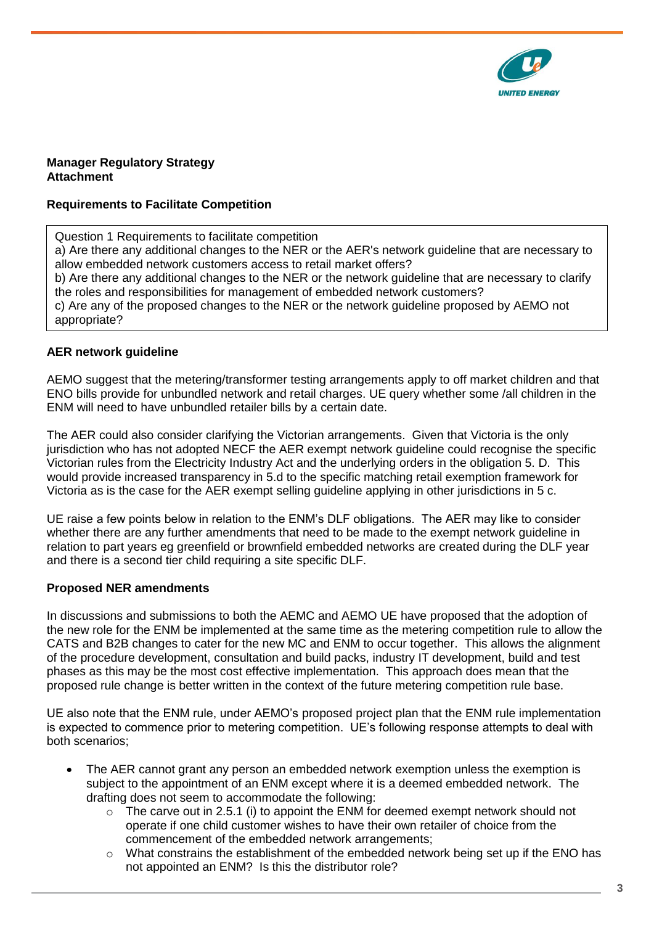

#### **Manager Regulatory Strategy Attachment**

### **Requirements to Facilitate Competition**

Question 1 Requirements to facilitate competition a) Are there any additional changes to the NER or the AER's network guideline that are necessary to allow embedded network customers access to retail market offers? b) Are there any additional changes to the NER or the network guideline that are necessary to clarify the roles and responsibilities for management of embedded network customers? c) Are any of the proposed changes to the NER or the network guideline proposed by AEMO not appropriate?

### **AER network guideline**

AEMO suggest that the metering/transformer testing arrangements apply to off market children and that ENO bills provide for unbundled network and retail charges. UE query whether some /all children in the ENM will need to have unbundled retailer bills by a certain date.

The AER could also consider clarifying the Victorian arrangements. Given that Victoria is the only jurisdiction who has not adopted NECF the AER exempt network guideline could recognise the specific Victorian rules from the Electricity Industry Act and the underlying orders in the obligation 5. D. This would provide increased transparency in 5.d to the specific matching retail exemption framework for Victoria as is the case for the AER exempt selling guideline applying in other jurisdictions in 5 c.

UE raise a few points below in relation to the ENM's DLF obligations. The AER may like to consider whether there are any further amendments that need to be made to the exempt network guideline in relation to part years eg greenfield or brownfield embedded networks are created during the DLF year and there is a second tier child requiring a site specific DLF.

### **Proposed NER amendments**

In discussions and submissions to both the AEMC and AEMO UE have proposed that the adoption of the new role for the ENM be implemented at the same time as the metering competition rule to allow the CATS and B2B changes to cater for the new MC and ENM to occur together. This allows the alignment of the procedure development, consultation and build packs, industry IT development, build and test phases as this may be the most cost effective implementation. This approach does mean that the proposed rule change is better written in the context of the future metering competition rule base.

UE also note that the ENM rule, under AEMO's proposed project plan that the ENM rule implementation is expected to commence prior to metering competition. UE's following response attempts to deal with both scenarios;

- The AER cannot grant any person an embedded network exemption unless the exemption is subject to the appointment of an ENM except where it is a deemed embedded network. The drafting does not seem to accommodate the following:
	- $\circ$  The carve out in 2.5.1 (i) to appoint the ENM for deemed exempt network should not operate if one child customer wishes to have their own retailer of choice from the commencement of the embedded network arrangements;
	- $\circ$  What constrains the establishment of the embedded network being set up if the ENO has not appointed an ENM? Is this the distributor role?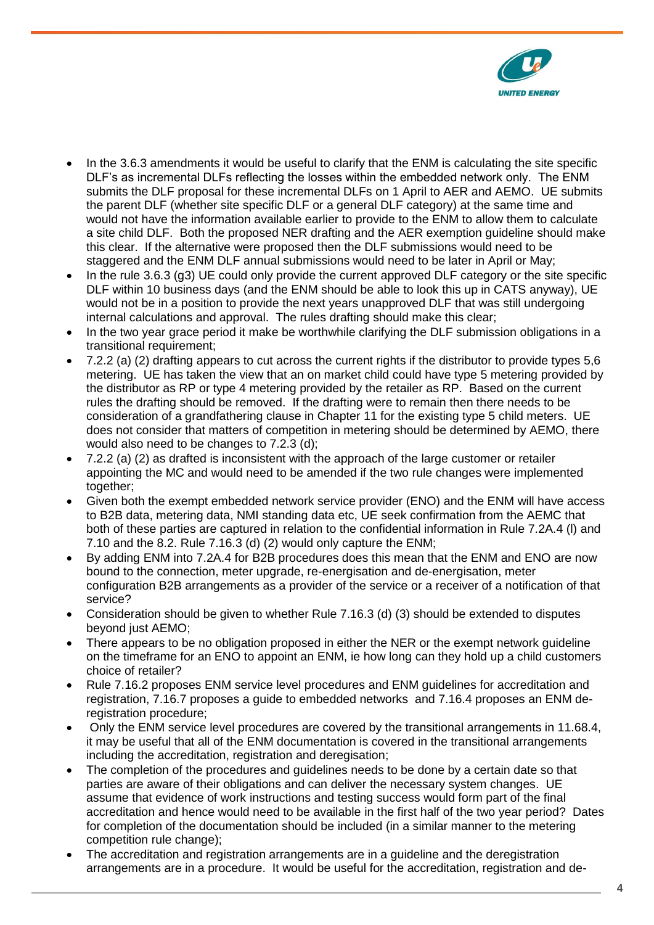

- In the 3.6.3 amendments it would be useful to clarify that the ENM is calculating the site specific DLF's as incremental DLFs reflecting the losses within the embedded network only. The ENM submits the DLF proposal for these incremental DLFs on 1 April to AER and AEMO. UE submits the parent DLF (whether site specific DLF or a general DLF category) at the same time and would not have the information available earlier to provide to the ENM to allow them to calculate a site child DLF. Both the proposed NER drafting and the AER exemption guideline should make this clear. If the alternative were proposed then the DLF submissions would need to be staggered and the ENM DLF annual submissions would need to be later in April or May;
- In the rule 3.6.3 (g3) UE could only provide the current approved DLF category or the site specific DLF within 10 business days (and the ENM should be able to look this up in CATS anyway), UE would not be in a position to provide the next years unapproved DLF that was still undergoing internal calculations and approval. The rules drafting should make this clear;
- In the two year grace period it make be worthwhile clarifying the DLF submission obligations in a transitional requirement;
- 7.2.2 (a) (2) drafting appears to cut across the current rights if the distributor to provide types 5,6 metering. UE has taken the view that an on market child could have type 5 metering provided by the distributor as RP or type 4 metering provided by the retailer as RP. Based on the current rules the drafting should be removed. If the drafting were to remain then there needs to be consideration of a grandfathering clause in Chapter 11 for the existing type 5 child meters. UE does not consider that matters of competition in metering should be determined by AEMO, there would also need to be changes to 7.2.3 (d);
- 7.2.2 (a) (2) as drafted is inconsistent with the approach of the large customer or retailer appointing the MC and would need to be amended if the two rule changes were implemented together;
- Given both the exempt embedded network service provider (ENO) and the ENM will have access to B2B data, metering data, NMI standing data etc, UE seek confirmation from the AEMC that both of these parties are captured in relation to the confidential information in Rule 7.2A.4 (l) and 7.10 and the 8.2. Rule 7.16.3 (d) (2) would only capture the ENM;
- By adding ENM into 7.2A.4 for B2B procedures does this mean that the ENM and ENO are now bound to the connection, meter upgrade, re-energisation and de-energisation, meter configuration B2B arrangements as a provider of the service or a receiver of a notification of that service?
- Consideration should be given to whether Rule 7.16.3 (d) (3) should be extended to disputes beyond just AEMO;
- There appears to be no obligation proposed in either the NER or the exempt network guideline on the timeframe for an ENO to appoint an ENM, ie how long can they hold up a child customers choice of retailer?
- Rule 7.16.2 proposes ENM service level procedures and ENM guidelines for accreditation and registration, 7.16.7 proposes a guide to embedded networks and 7.16.4 proposes an ENM deregistration procedure;
- Only the ENM service level procedures are covered by the transitional arrangements in 11.68.4, it may be useful that all of the ENM documentation is covered in the transitional arrangements including the accreditation, registration and deregisation;
- The completion of the procedures and guidelines needs to be done by a certain date so that parties are aware of their obligations and can deliver the necessary system changes. UE assume that evidence of work instructions and testing success would form part of the final accreditation and hence would need to be available in the first half of the two year period? Dates for completion of the documentation should be included (in a similar manner to the metering competition rule change);
- The accreditation and registration arrangements are in a guideline and the deregistration arrangements are in a procedure. It would be useful for the accreditation, registration and de-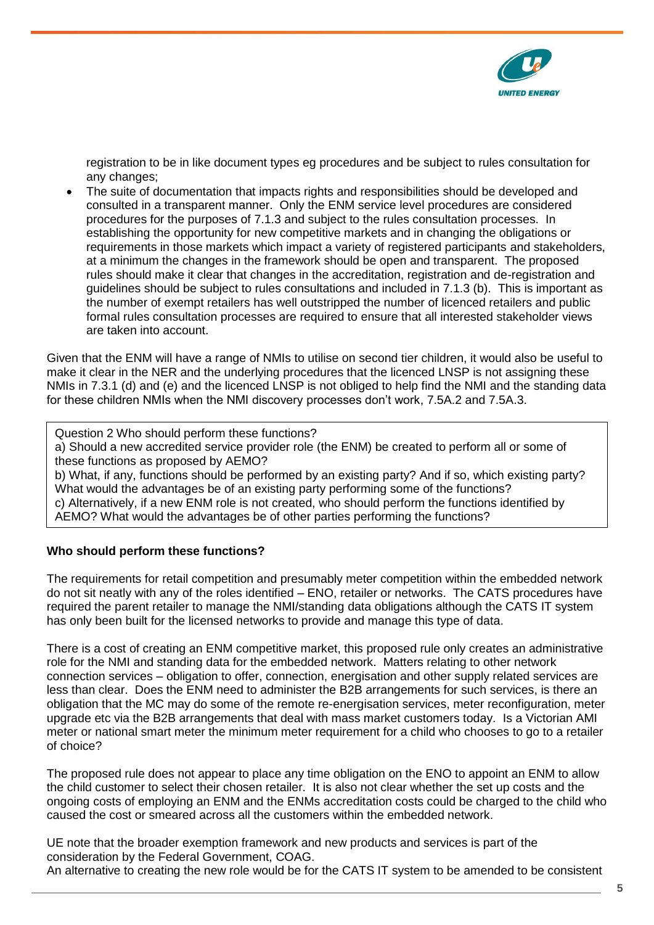

registration to be in like document types eg procedures and be subject to rules consultation for any changes;

 The suite of documentation that impacts rights and responsibilities should be developed and consulted in a transparent manner. Only the ENM service level procedures are considered procedures for the purposes of 7.1.3 and subject to the rules consultation processes. In establishing the opportunity for new competitive markets and in changing the obligations or requirements in those markets which impact a variety of registered participants and stakeholders, at a minimum the changes in the framework should be open and transparent. The proposed rules should make it clear that changes in the accreditation, registration and de-registration and guidelines should be subject to rules consultations and included in 7.1.3 (b). This is important as the number of exempt retailers has well outstripped the number of licenced retailers and public formal rules consultation processes are required to ensure that all interested stakeholder views are taken into account.

Given that the ENM will have a range of NMIs to utilise on second tier children, it would also be useful to make it clear in the NER and the underlying procedures that the licenced LNSP is not assigning these NMIs in 7.3.1 (d) and (e) and the licenced LNSP is not obliged to help find the NMI and the standing data for these children NMIs when the NMI discovery processes don't work, 7.5A.2 and 7.5A.3.

Question 2 Who should perform these functions?

a) Should a new accredited service provider role (the ENM) be created to perform all or some of these functions as proposed by AEMO?

b) What, if any, functions should be performed by an existing party? And if so, which existing party? What would the advantages be of an existing party performing some of the functions? c) Alternatively, if a new ENM role is not created, who should perform the functions identified by AEMO? What would the advantages be of other parties performing the functions?

### **Who should perform these functions?**

The requirements for retail competition and presumably meter competition within the embedded network do not sit neatly with any of the roles identified – ENO, retailer or networks. The CATS procedures have required the parent retailer to manage the NMI/standing data obligations although the CATS IT system has only been built for the licensed networks to provide and manage this type of data.

There is a cost of creating an ENM competitive market, this proposed rule only creates an administrative role for the NMI and standing data for the embedded network. Matters relating to other network connection services – obligation to offer, connection, energisation and other supply related services are less than clear. Does the ENM need to administer the B2B arrangements for such services, is there an obligation that the MC may do some of the remote re-energisation services, meter reconfiguration, meter upgrade etc via the B2B arrangements that deal with mass market customers today. Is a Victorian AMI meter or national smart meter the minimum meter requirement for a child who chooses to go to a retailer of choice?

The proposed rule does not appear to place any time obligation on the ENO to appoint an ENM to allow the child customer to select their chosen retailer. It is also not clear whether the set up costs and the ongoing costs of employing an ENM and the ENMs accreditation costs could be charged to the child who caused the cost or smeared across all the customers within the embedded network.

UE note that the broader exemption framework and new products and services is part of the consideration by the Federal Government, COAG. An alternative to creating the new role would be for the CATS IT system to be amended to be consistent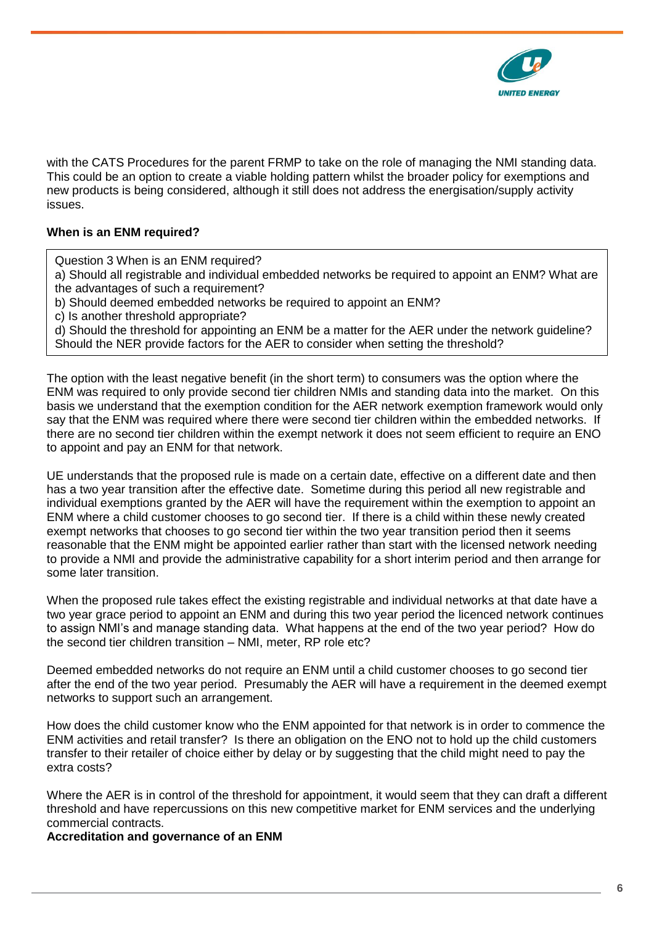

with the CATS Procedures for the parent FRMP to take on the role of managing the NMI standing data. This could be an option to create a viable holding pattern whilst the broader policy for exemptions and new products is being considered, although it still does not address the energisation/supply activity issues.

# **When is an ENM required?**

Question 3 When is an ENM required?

a) Should all registrable and individual embedded networks be required to appoint an ENM? What are the advantages of such a requirement?

b) Should deemed embedded networks be required to appoint an ENM?

c) Is another threshold appropriate?

d) Should the threshold for appointing an ENM be a matter for the AER under the network guideline? Should the NER provide factors for the AER to consider when setting the threshold?

The option with the least negative benefit (in the short term) to consumers was the option where the ENM was required to only provide second tier children NMIs and standing data into the market. On this basis we understand that the exemption condition for the AER network exemption framework would only say that the ENM was required where there were second tier children within the embedded networks. If there are no second tier children within the exempt network it does not seem efficient to require an ENO to appoint and pay an ENM for that network.

UE understands that the proposed rule is made on a certain date, effective on a different date and then has a two year transition after the effective date. Sometime during this period all new registrable and individual exemptions granted by the AER will have the requirement within the exemption to appoint an ENM where a child customer chooses to go second tier. If there is a child within these newly created exempt networks that chooses to go second tier within the two year transition period then it seems reasonable that the ENM might be appointed earlier rather than start with the licensed network needing to provide a NMI and provide the administrative capability for a short interim period and then arrange for some later transition.

When the proposed rule takes effect the existing registrable and individual networks at that date have a two year grace period to appoint an ENM and during this two year period the licenced network continues to assign NMI's and manage standing data. What happens at the end of the two year period? How do the second tier children transition – NMI, meter, RP role etc?

Deemed embedded networks do not require an ENM until a child customer chooses to go second tier after the end of the two year period. Presumably the AER will have a requirement in the deemed exempt networks to support such an arrangement.

How does the child customer know who the ENM appointed for that network is in order to commence the ENM activities and retail transfer? Is there an obligation on the ENO not to hold up the child customers transfer to their retailer of choice either by delay or by suggesting that the child might need to pay the extra costs?

Where the AER is in control of the threshold for appointment, it would seem that they can draft a different threshold and have repercussions on this new competitive market for ENM services and the underlying commercial contracts.

**Accreditation and governance of an ENM**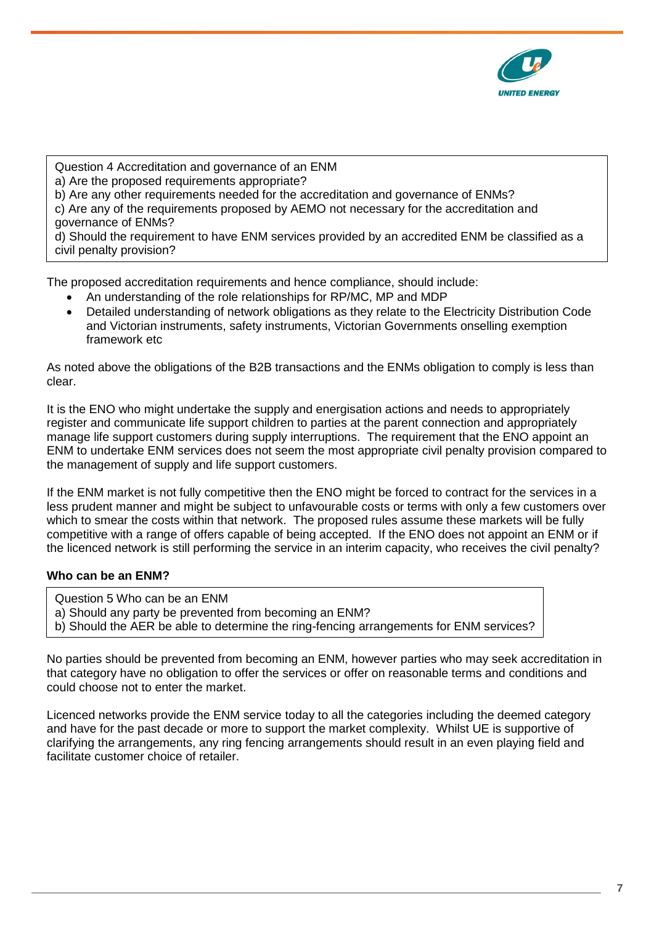

Question 4 Accreditation and governance of an ENM a) Are the proposed requirements appropriate? b) Are any other requirements needed for the accreditation and governance of ENMs? c) Are any of the requirements proposed by AEMO not necessary for the accreditation and governance of ENMs? d) Should the requirement to have ENM services provided by an accredited ENM be classified as a civil penalty provision?

The proposed accreditation requirements and hence compliance, should include:

- An understanding of the role relationships for RP/MC, MP and MDP
- Detailed understanding of network obligations as they relate to the Electricity Distribution Code and Victorian instruments, safety instruments, Victorian Governments onselling exemption framework etc

As noted above the obligations of the B2B transactions and the ENMs obligation to comply is less than clear.

It is the ENO who might undertake the supply and energisation actions and needs to appropriately register and communicate life support children to parties at the parent connection and appropriately manage life support customers during supply interruptions. The requirement that the ENO appoint an ENM to undertake ENM services does not seem the most appropriate civil penalty provision compared to the management of supply and life support customers.

If the ENM market is not fully competitive then the ENO might be forced to contract for the services in a less prudent manner and might be subject to unfavourable costs or terms with only a few customers over which to smear the costs within that network. The proposed rules assume these markets will be fully competitive with a range of offers capable of being accepted. If the ENO does not appoint an ENM or if the licenced network is still performing the service in an interim capacity, who receives the civil penalty?

# **Who can be an ENM?**

- Question 5 Who can be an ENM
- a) Should any party be prevented from becoming an ENM?
- b) Should the AER be able to determine the ring-fencing arrangements for ENM services?

No parties should be prevented from becoming an ENM, however parties who may seek accreditation in that category have no obligation to offer the services or offer on reasonable terms and conditions and could choose not to enter the market.

Licenced networks provide the ENM service today to all the categories including the deemed category and have for the past decade or more to support the market complexity. Whilst UE is supportive of clarifying the arrangements, any ring fencing arrangements should result in an even playing field and facilitate customer choice of retailer.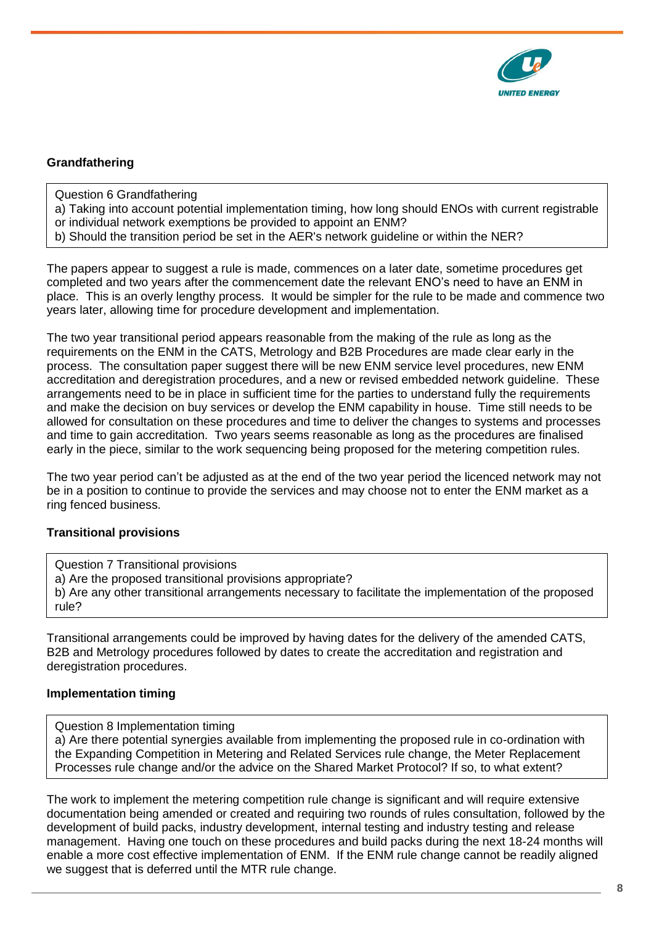

# **Grandfathering**

- Question 6 Grandfathering
- a) Taking into account potential implementation timing, how long should ENOs with current registrable
- or individual network exemptions be provided to appoint an ENM?
- b) Should the transition period be set in the AER's network guideline or within the NER?

The papers appear to suggest a rule is made, commences on a later date, sometime procedures get completed and two years after the commencement date the relevant ENO's need to have an ENM in place. This is an overly lengthy process. It would be simpler for the rule to be made and commence two years later, allowing time for procedure development and implementation.

The two year transitional period appears reasonable from the making of the rule as long as the requirements on the ENM in the CATS, Metrology and B2B Procedures are made clear early in the process. The consultation paper suggest there will be new ENM service level procedures, new ENM accreditation and deregistration procedures, and a new or revised embedded network guideline. These arrangements need to be in place in sufficient time for the parties to understand fully the requirements and make the decision on buy services or develop the ENM capability in house. Time still needs to be allowed for consultation on these procedures and time to deliver the changes to systems and processes and time to gain accreditation. Two years seems reasonable as long as the procedures are finalised early in the piece, similar to the work sequencing being proposed for the metering competition rules.

The two year period can't be adjusted as at the end of the two year period the licenced network may not be in a position to continue to provide the services and may choose not to enter the ENM market as a ring fenced business.

### **Transitional provisions**

Question 7 Transitional provisions a) Are the proposed transitional provisions appropriate? b) Are any other transitional arrangements necessary to facilitate the implementation of the proposed rule?

Transitional arrangements could be improved by having dates for the delivery of the amended CATS, B2B and Metrology procedures followed by dates to create the accreditation and registration and deregistration procedures.

### **Implementation timing**

Question 8 Implementation timing

a) Are there potential synergies available from implementing the proposed rule in co-ordination with the Expanding Competition in Metering and Related Services rule change, the Meter Replacement Processes rule change and/or the advice on the Shared Market Protocol? If so, to what extent?

The work to implement the metering competition rule change is significant and will require extensive documentation being amended or created and requiring two rounds of rules consultation, followed by the development of build packs, industry development, internal testing and industry testing and release management. Having one touch on these procedures and build packs during the next 18-24 months will enable a more cost effective implementation of ENM. If the ENM rule change cannot be readily aligned we suggest that is deferred until the MTR rule change.